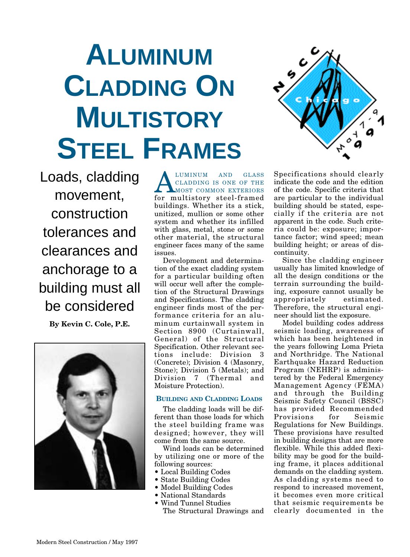# **ALUMINUM CLADDING ON MULTISTORY STEEL FRAMES**

Loads, cladding movement, construction tolerances and clearances and anchorage to a building must all be considered **By Kevin C. Cole, P.E.**



ALUMINUM AND GLASS<br>CLADDING IS ONE OF THE<br>MOST COMMON EXTERIORS CLADDING IS ONE OF THE MOST COMMON EXTERIORS for multistory steel-framed buildings. Whether its a stick, unitized, mullion or some other system and whether its infilled with glass, metal, stone or some other material, the structural engineer faces many of the same issues.

Development and determination of the exact cladding system for a particular building often will occur well after the completion of the Structural Drawings and Specifications. The cladding engineer finds most of the performance criteria for an aluminum curtainwall system in Section 8900 (Curtainwall, General) of the Structural Specification. Other relevant sections include: Division 3 (Concrete); Division 4 (Masonry, Stone); Division 5 (Metals); and Division 7 (Thermal and Moisture Protection).

### **BUILDING AND CLADDING LOADS**

The cladding loads will be different than those loads for which the steel building frame was designed; however, they will come from the same source.

Wind loads can be determined by utilizing one or more of the following sources:

- **•** Local Building Codes
- **•** State Building Codes
- **•** Model Building Codes
- **•** National Standards
- **•** Wind Tunnel Studies The Structural Drawings and



Specifications should clearly indicate the code and the edition of the code. Specific criteria that are particular to the individual building should be stated, especially if the criteria are not apparent in the code. Such criteria could be: exposure; importance factor; wind speed; mean building height; or areas of discontinuity.

Since the cladding engineer usually has limited knowledge of all the design conditions or the terrain surrounding the building, exposure cannot usually be appropriately Therefore, the structural engineer should list the exposure.

Model building codes address seismic loading, awareness of which has been heightened in the years following Loma Prieta and Northridge. The National Earthquake Hazard Reduction Program (NEHRP) is administered by the Federal Emergency Management Agency (FEMA) and through the Building Seismic Safety Council (BSSC) has provided Recommended Provisions for Seismic Regulations for New Buildings. These provisions have resulted in building designs that are more flexible. While this added flexibility may be good for the building frame, it places additional demands on the cladding system. As cladding systems need to respond to increased movement, it becomes even more critical that seismic requirements be clearly documented in the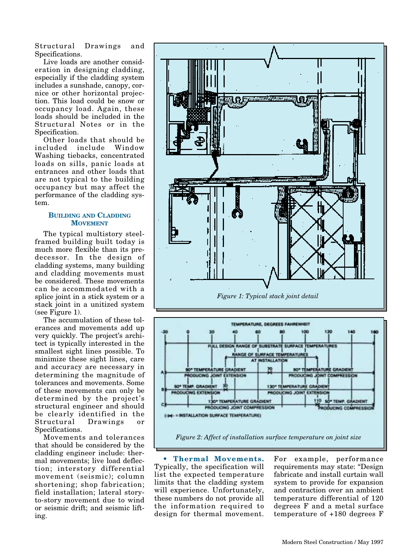Structural Drawings and Specifications.

Live loads are another consideration in designing cladding, especially if the cladding system includes a sunshade, canopy, cornice or other horizontal projection. This load could be snow or occupancy load. Again, these loads should be included in the Structural Notes or in the Specification.

Other loads that should be included include Window Washing tiebacks, concentrated loads on sills, panic loads at entrances and other loads that are not typical to the building occupancy but may affect the performance of the cladding system.

### **BUILDING AND CLADDING MOVEMENT**

The typical multistory steelframed building built today is much more flexible than its predecessor. In the design of cladding systems, many building and cladding movements must be considered. These movements can be accommodated with a splice joint in a stick system or a stack joint in a unitized system (see Figure 1).

The accumulation of these tolerances and movements add up very quickly. The project's architect is typically interested in the smallest sight lines possible. To minimize these sight lines, care and accuracy are necessary in determining the magnitude of tolerances and movements. Some of these movements can only be determined by the project's structural engineer and should be clearly identified in the<br>Structural Drawings or Drawings or Specifications.

Movements and tolerances that should be considered by the cladding engineer include: thermal movements; live load deflection; interstory differential movement (seismic); column shortening; shop fabrication; field installation; lateral storyto-story movement due to wind or seismic drift; and seismic lifting.





**• Thermal Movements.** Typically, the specification will list the expected temperature limits that the cladding system will experience. Unfortunately, these numbers do not provide all the information required to design for thermal movement. For example, performance requirements may state: "Design fabricate and install curtain wall system to provide for expansion and contraction over an ambient temperature differential of 120 degrees F and a metal surface temperature of +180 degrees F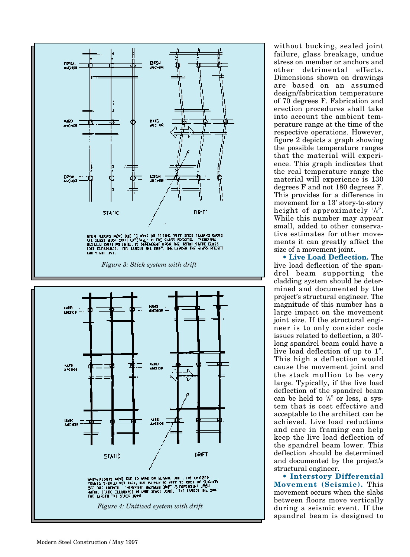

without bucking, sealed joint failure, glass breakage, undue stress on member or anchors and other detrimental effects. Dimensions shown on drawings are based on an assumed design/fabrication temperature of 70 degrees F. Fabrication and erection procedures shall take into account the ambient temperature range at the time of the respective operations. However, figure 2 depicts a graph showing the possible temperature ranges that the material will experience. This graph indicates that the real temperature range the material will experience is 130 degrees F and not 180 degrees F. This provides for a difference in movement for a 13' story-to-story height of approximately 1/8". While this number may appear small, added to other conservative estimates for other movements it can greatly affect the size of a movement joint.

**• Live Load Deflection.** The live load deflection of the spandrel beam supporting the cladding system should be determined and documented by the project's structural engineer. The magnitude of this number has a large impact on the movement joint size. If the structural engineer is to only consider code issues related to deflection, a 30' long spandrel beam could have a live load deflection of up to 1". This high a deflection would cause the movement joint and the stack mullion to be very large. Typically, if the live load deflection of the spandrel beam can be held to 3/8" or less, a system that is cost effective and acceptable to the architect can be achieved. Live load reductions and care in framing can help keep the live load deflection of the spandrel beam lower. This deflection should be determined and documented by the project's structural engineer.

**• Interstory Differential Movement (Seismic).** This movement occurs when the slabs between floors move vertically during a seismic event. If the spandrel beam is designed to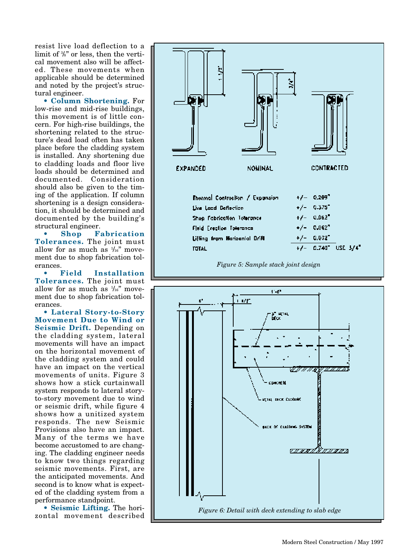resist live load deflection to a limit of <sup>3</sup>/<sub>8</sub>" or less, then the vertical movement also will be affected. These movements when applicable should be determined and noted by the project's structural engineer.

**• Column Shortening.** For low-rise and mid-rise buildings, this movement is of little concern. For high-rise buildings, the shortening related to the structure's dead load often has taken place before the cladding system is installed. Any shortening due to cladding loads and floor live loads should be determined and documented. Consideration should also be given to the timing of the application. If column shortening is a design consideration, it should be determined and documented by the building's structural engineer.

**• Shop Fabrication Tolerances.** The joint must allow for as much as  $\frac{1}{16}$ " movement due to shop fabrication tolerances.

**• Field Installation Tolerances.** The joint must allow for as much as  $\frac{1}{16}$ " movement due to shop fabrication tolerances.

**• Lateral Story-to-Story Movement Due to Wind or Seismic Drift.** Depending on the cladding system, lateral movements will have an impact on the horizontal movement of the cladding system and could have an impact on the vertical movements of units. Figure 3 shows how a stick curtainwall system responds to lateral storyto-story movement due to wind or seismic drift, while figure 4 shows how a unitized system responds. The new Seismic Provisions also have an impact. Many of the terms we have become accustomed to are changing. The cladding engineer needs to know two things regarding seismic movements. First, are the anticipated movements. And second is to know what is expected of the cladding system from a performance standpoint.

**• Seismic Lifting.** The horizontal movement described





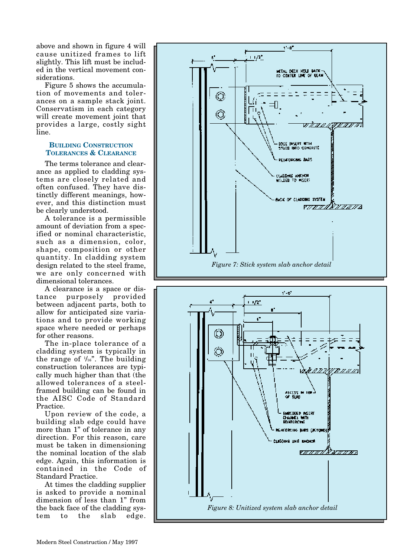above and shown in figure 4 will cause unitized frames to lift slightly. This lift must be included in the vertical movement considerations.

Figure 5 shows the accumulation of movements and tolerances on a sample stack joint. Conservatism in each category will create movement joint that provides a large, costly sight line.

## **BUILDING CONSTRUCTION TOLERANCES & CLEARANCE**

The terms tolerance and clearance as applied to cladding systems are closely related and often confused. They have distinctly different meanings, however, and this distinction must be clearly understood.

A tolerance is a permissible amount of deviation from a specified or nominal characteristic, such as a dimension, color, shape, composition or other quantity. In cladding system design related to the steel frame, we are only concerned with dimensional tolerances.

A clearance is a space or distance purposely provided between adjacent parts, both to allow for anticipated size variations and to provide working space where needed or perhaps for other reasons.

The in-place tolerance of a cladding system is typically in the range of  $\frac{1}{16}$ . The building construction tolerances are typically much higher than that (the allowed tolerances of a steelframed building can be found in the AISC Code of Standard Practice.

Upon review of the code, a building slab edge could have more than 1" of tolerance in any direction. For this reason, care must be taken in dimensioning the nominal location of the slab edge. Again, this information is contained in the Code of Standard Practice.

At times the cladding supplier is asked to provide a nominal dimension of less than 1" from the back face of the cladding system to the slab edge.



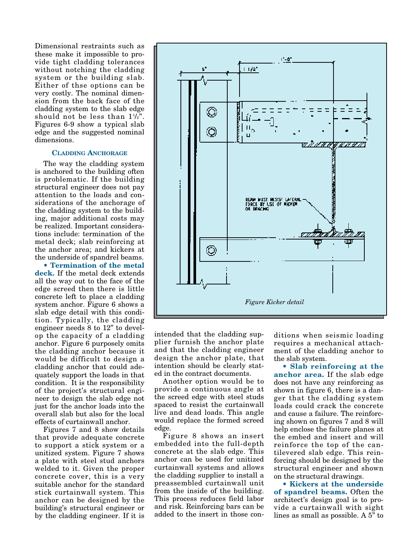Dimensional restraints such as these make it impossible to provide tight cladding tolerances without notching the cladding system or the building slab. Either of thse options can be very costly. The nominal dimension from the back face of the cladding system to the slab edge should not be less than  $1\frac{1}{2}$ . Figures 6-9 show a typical slab edge and the suggested nominal dimensions.

#### **CLADDING ANCHORAGE**

The way the cladding system is anchored to the building often is problematic. If the building structural engineer does not pay attention to the loads and considerations of the anchorage of the cladding system to the building, major additional costs may be realized. Important considerations include: termination of the metal deck; slab reinforcing at the anchor area; and kickers at the underside of spandrel beams.

**• Termination of the metal deck.** If the metal deck extends all the way out to the face of the edge screed then there is little concrete left to place a cladding system anchor. Figure 6 shows a slab edge detail with this condition. Typically, the cladding engineer needs 8 to 12" to develop the capacity of a cladding anchor. Figure 6 purposely omits the cladding anchor because it would be difficult to design a cladding anchor that could adequately support the loads in that condition. It is the responsibility of the project's structural engineer to design the slab edge not just for the anchor loads into the overall slab but also for the local effects of curtainwall anchor.

Figures 7 and 8 show details that provide adequate concrete to support a stick system or a unitized system. Figure 7 shows a plate with steel stud anchors welded to it. Given the proper concrete cover, this is a very suitable anchor for the standard stick curtainwall system. This anchor can be designed by the building's structural engineer or by the cladding engineer. If it is



intended that the cladding supplier furnish the anchor plate and that the cladding engineer design the anchor plate, that intention should be clearly stated in the contract documents.

Another option would be to provide a continuous angle at the screed edge with steel studs spaced to resist the curtainwall live and dead loads. This angle would replace the formed screed edge.

Figure 8 shows an insert embedded into the full-depth concrete at the slab edge. This anchor can be used for unitized curtainwall systems and allows the cladding supplier to install a preassembled curtainwall unit from the inside of the building. This process reduces field labor and risk. Reinforcing bars can be added to the insert in those conditions when seismic loading requires a mechanical attachment of the cladding anchor to the slab system.

**• Slab reinforcing at the anchor area.** If the slab edge does not have any reinforcing as shown in figure 6, there is a danger that the cladding system loads could crack the concrete and cause a failure. The reinforcing shown on figures 7 and 8 will help enclose the failure planes at the embed and insert and will reinforce the top of the cantilevered slab edge. This reinforcing should be designed by the structural engineer and shown on the structural drawings.

**• Kickers at the underside of spandrel beams.** Often the architect's design goal is to provide a curtainwall with sight lines as small as possible. A 5" to